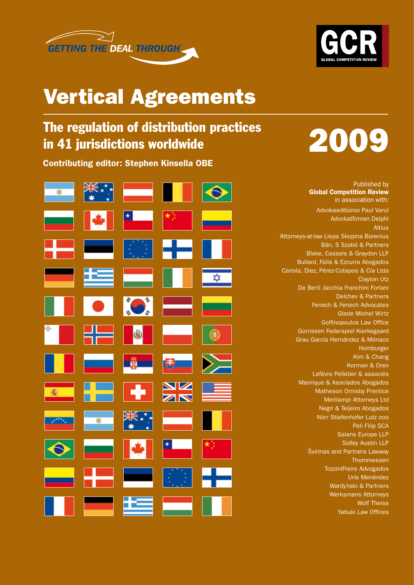



### Vertical Agreements

### The regulation of distribution practices in 41 jurisdictions worldwide

Contributing editor: Stephen Kinsella OBE



# 2009

Published by Global Competition Review in association with: Advokaadibüroo Paul Varul Advokatfirman Delphi Altius Attorneys-at-law Liepa Skopina Borenius Bán, S Szabó & Partners Blake, Cassels & Graydon LLP Bullard, Falla & Ezcurra Abogados Cariola, Diez, Pérez-Cotapos & Cía Ltda Clayton Utz De Berti Jacchia Franchini Forlani Delchev & Partners Fenech & Fenech Advocates Glade Michel Wirtz Golfinopoulos Law Office Gorrissen Federspiel Kierkegaard Grau García Hernández & Mónaco Homburger Kim & Chang Korman & Oren Lefèvre Pelletier & associés Manrique & Asociados Abogados Matheson Ormsby Prentice Merilampi Attorneys Ltd Negri & Teijeiro Abogados Nörr Stiefenhofer Lutz ooo Peli Filip SCA Salans Europe LLP Sidley Austin LLP Švirinas and Partners Lawway **Thommessen** TozziniFreire Advogados Uría Menéndez Wardvnski & Partners Werksmans Attorneys Wolf Theiss Yabuki Law Offices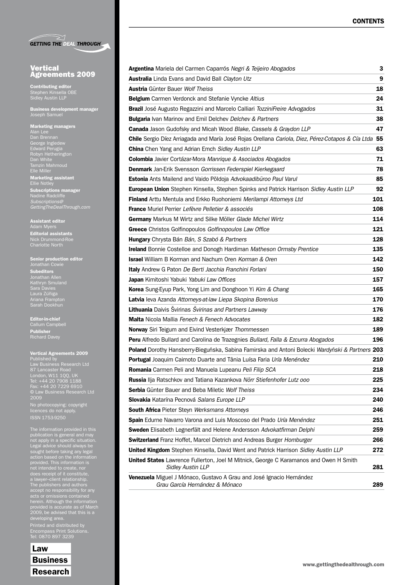|  | <b>GETTING THE DEAL THROUGH</b> |
|--|---------------------------------|

#### **Vertical** Agreements 2009

Contributing editor Stephen Kinsella OBE Sidley Austin LLP

Business development manager Joseph Samuel

#### Marketing managers

Dan Brennan George Ingledew Edward Perugia Robyn Hetherington Dan White Tamzin Mahmoud Elle Miller Marketing assistant Ellie Notley

Subscriptions manager *Subscriptions@ GettingTheDealThrough.com*

Assistant editor Editorial assistants Nick Drummond-Roe Charlotte North

Senior production editor Jonathan Cowie

Subeditors

Jonathan Allen Kathryn Smuland Laura Zúñiga Ariana Frampton

Editor-in-chief Callum Campbell Publisher

#### Vertical Agreements 2009

Published by 87 Lancaster Road London, W11 1QQ, UK Tel: +44 20 7908 1188 Fax: +44 20 7229 6910 © Law Business Research Ltd 2009

No photocopying: copyright No photocopying: copyright<br>licences do not apply.

The information provided in this publication is general and may not apply in a specific situation. Legal advice should always be sought before taking any legal provided. This information is a lawyer–client relationship. The publishers and authors acts or omissions contained herein. Although the information provided is accurate as of March 2009, be advised that this is a developing area.

Printed and distributed by Tel: 0870 897 3239

Law Business Research

| Argentina Mariela del Carmen Caparrós Negri & Teijeiro Abogados                                                   | 3           |
|-------------------------------------------------------------------------------------------------------------------|-------------|
| <b>Australia</b> Linda Evans and David Ball Clayton Utz                                                           | 9           |
| <b>Austria</b> Günter Bauer Wolf Theiss                                                                           | 18          |
| <b>Belgium</b> Carmen Verdonck and Stefanie Vyncke Altius                                                         | 24          |
| <b>Brazil</b> José Augusto Regazzini and Marcelo Calliari TozziniFreire Advogados                                 | 31          |
| Bulgaria Ivan Marinov and Emil Delchev Delchev & Partners                                                         | 38          |
| <b>Canada</b> Jason Gudofsky and Micah Wood Blake, Cassels & Graydon LLP                                          | 47          |
| Chile Sergio Díez Arriagada and María José Rojas Orellana Cariola, Diez, Pérez-Cotapos & Cía Ltda 55              |             |
| <b>China</b> Chen Yang and Adrian Emch Sidley Austin LLP                                                          | 63          |
| <b>Colombia</b> Javier Cortázar-Mora Manrique & Asociados Abogados                                                | 71          |
| <b>Denmark</b> Jan-Erik Svensson Gorrissen Federspiel Kierkegaard                                                 | 78          |
| <b>Estonia</b> Ants Mailend and Vaido Põldoja Advokaadibüroo Paul Varul                                           | 85          |
| European Union Stephen Kinsella, Stephen Spinks and Patrick Harrison Sidley Austin LLP                            | 92          |
| <b>Finland</b> Arttu Mentula and Erkko Ruohoniemi Merilampi Attorneys Ltd                                         | <u> 101</u> |
| <b>France</b> Muriel Perrier Lefèvre Pelletier & associés                                                         | 108         |
| Germany Markus M Wirtz and Silke Möller Glade Michel Wirtz                                                        | 114         |
| Greece Christos Golfinopoulos Golfinopoulos Law Office                                                            | 121         |
| <b>Hungary</b> Chrysta Bán Bán, S Szabó & Partners                                                                | 128         |
| <b>Ireland</b> Bonnie Costelloe and Donogh Hardiman Matheson Ormsby Prentice                                      | 135         |
| <b>Israel</b> William B Korman and Nachum Oren Korman & Oren                                                      | 142         |
| Italy Andrew G Paton De Berti Jacchia Franchini Forlani                                                           | 150         |
| Japan Kimitoshi Yabuki Yabuki Law Offices                                                                         | 157         |
| <b>Korea</b> Sung-Eyup Park, Yong Lim and Donghoon Yi Kim & Chang                                                 | 165         |
| Latvia leva Azanda Attorneys-at-law Liepa Skopina Borenius                                                        | 170         |
| Lithuania Daivis Švirinas Švirinas and Partners Lawway                                                            | 176         |
| <b>Malta</b> Nicola Mallia Fenech & Fenech Advocates                                                              | 182         |
| <b>Norway</b> Siri Teigum and Eivind Vesterkjær Thommessen                                                        | 189         |
| <b>Peru</b> Alfredo Bullard and Carolina de Trazegnies Bullard, Falla & Ezcurra Abogados                          | 196         |
| Poland Dorothy Hansberry-Bieguńska, Sabina Famirska and Antoni Bolecki Wardyński & Partners 203                   |             |
| <b>Portugal</b> Joaquim Caimoto Duarte and Tânia Luísa Faria Uría Menéndez                                        | 210         |
| Romania Carmen Peli and Manuela Lupeanu Peli Filip SCA                                                            | 218         |
| Russia Ilja Ratschkov and Tatiana Kazankova Nörr Stiefenhofer Lutz ooo                                            | 225         |
| Serbia Günter Bauer and Beba Miletic Wolf Theiss                                                                  | 234         |
| Slovakia Katarína Pecnová Salans Europe LLP                                                                       | 240         |
| <b>South Africa Pieter Steyn Werksmans Attorneys</b>                                                              | 246         |
| Spain Edurne Navarro Varona and Luis Moscoso del Prado Uría Menéndez                                              | 251         |
| Sweden Elisabeth Legnerfält and Helene Andersson Advokatfirman Delphi                                             | 259         |
| <b>Switzerland</b> Franz Hoffet, Marcel Dietrich and Andreas Burger Homburger                                     | 266         |
| United Kingdom Stephen Kinsella, David Went and Patrick Harrison Sidley Austin LLP                                | 272         |
| <b>United States</b> Lawrence Fullerton, Joel M Mitnick, George C Karamanos and Owen H Smith<br>Sidley Austin LLP | 281         |
| Venezuela Miguel J Mónaco, Gustavo A Grau and José Ignacio Hernández<br>Grau García Hernández & Mónaco            | 289         |
|                                                                                                                   |             |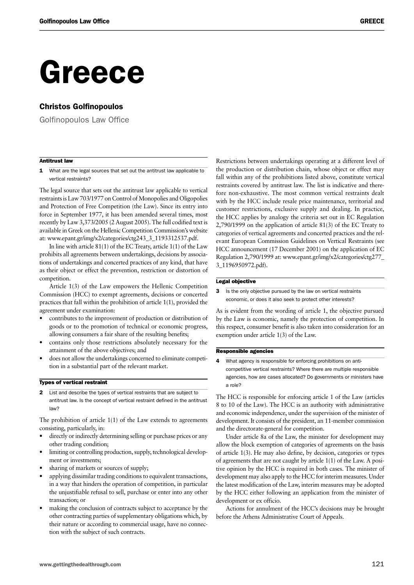## Greece

#### Christos Golfinopoulos

Golfinopoulos Law Office

#### Antitrust law

1 What are the legal sources that set out the antitrust law applicable to vertical restraints?

The legal source that sets out the antitrust law applicable to vertical restraints is Law 703/1977 on Control of Monopolies and Oligopolies and Protection of Free Competition (the Law). Since its entry into force in September 1977, it has been amended several times, most recently by Law 3,373/2005 (2 August 2005). The full codified text is available in Greek on the Hellenic Competition Commission's website at: www.epant.gr/img/x2/categories/ctg243\_3\_1193312537.pdf.

In line with article 81(1) of the EC Treaty, article 1(1) of the Law prohibits all agreements between undertakings, decisions by associations of undertakings and concerted practices of any kind, that have as their object or effect the prevention, restriction or distortion of competition.

Article 1(3) of the Law empowers the Hellenic Competition Commission (HCC) to exempt agreements, decisions or concerted practices that fall within the prohibition of article 1(1), provided the agreement under examination:

- contributes to the improvement of production or distribution of goods or to the promotion of technical or economic progress, allowing consumers a fair share of the resulting benefits;
- contains only those restrictions absolutely necessary for the attainment of the above objectives; and
- does not allow the undertakings concerned to eliminate competition in a substantial part of the relevant market.

#### Types of vertical restraint

2 List and describe the types of vertical restraints that are subject to antitrust law. Is the concept of vertical restraint defined in the antitrust law?

The prohibition of article 1(1) of the Law extends to agreements consisting, particularly, in:

- directly or indirectly determining selling or purchase prices or any other trading condition;
- limiting or controlling production, supply, technological development or investments;
- sharing of markets or sources of supply;
- applying dissimilar trading conditions to equivalent transactions, in a way that hinders the operation of competition, in particular the unjustifiable refusal to sell, purchase or enter into any other transaction; or
- making the conclusion of contracts subject to acceptance by the other contracting parties of supplementary obligations which, by their nature or according to commercial usage, have no connection with the subject of such contracts.

Restrictions between undertakings operating at a different level of the production or distribution chain, whose object or effect may fall within any of the prohibitions listed above, constitute vertical restraints covered by antitrust law. The list is indicative and therefore non-exhaustive. The most common vertical restraints dealt with by the HCC include resale price maintenance, territorial and customer restrictions, exclusive supply and dealing. In practice, the HCC applies by analogy the criteria set out in EC Regulation 2,790/1999 on the application of article 81(3) of the EC Treaty to categories of vertical agreements and concerted practices and the relevant European Commission Guidelines on Vertical Restraints (see HCC announcement (17 December 2001) on the application of EC Regulation 2,790/1999 at: www.epant.gr/img/x2/categories/ctg277\_ 3\_1196950972.pdf).

#### Legal objective

3 Is the only objective pursued by the law on vertical restraints economic, or does it also seek to protect other interests?

As is evident from the wording of article 1, the objective pursued by the Law is economic, namely the protection of competition. In this respect, consumer benefit is also taken into consideration for an exemption under article 1(3) of the Law.

#### Responsible agencies

4 What agency is responsible for enforcing prohibitions on anticompetitive vertical restraints? Where there are multiple responsible agencies, how are cases allocated? Do governments or ministers have a role?

The HCC is responsible for enforcing article 1 of the Law (articles 8 to 10 of the Law). The HCC is an authority with administrative and economic independence, under the supervision of the minister of development. It consists of the president, an 11-member commission and the directorate-general for competition.

Under article 8a of the Law, the minister for development may allow the block exemption of categories of agreements on the basis of article 1(3). He may also define, by decision, categories or types of agreements that are not caught by article 1(1) of the Law. A positive opinion by the HCC is required in both cases. The minister of development may also apply to the HCC for interim measures. Under the latest modification of the Law, interim measures may be adopted by the HCC either following an application from the minister of development or ex officio.

Actions for annulment of the HCC's decisions may be brought before the Athens Administrative Court of Appeals.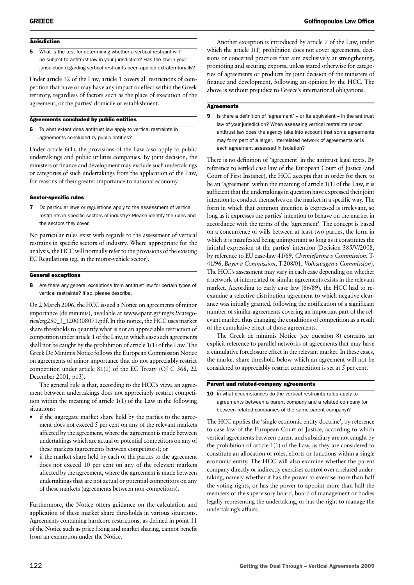#### **Jurisdiction**

5 What is the test for determining whether a vertical restraint will be subject to antitrust law in your jurisdiction? Has the law in your jurisdiction regarding vertical restraints been applied extraterritorially?

Under article 32 of the Law, article 1 covers all restrictions of competition that have or may have any impact or effect within the Greek territory, regardless of factors such as the place of execution of the agreement, or the parties' domicile or establishment.

#### Agreements concluded by public entities

6 To what extent does antitrust law apply to vertical restraints in agreements concluded by public entities?

Under article 6(1), the provisions of the Law also apply to public undertakings and public utilities companies. By joint decision, the ministers of finance and development may exclude such undertakings or categories of such undertakings from the application of the Law, for reasons of their greater importance to national economy.

#### Sector-specific rules

7 Do particular laws or regulations apply to the assessment of vertical restraints in specific sectors of industry? Please identify the rules and the sectors they cover.

No particular rules exist with regards to the assessment of vertical restrains in specific sectors of industry. Where appropriate for the analysis, the HCC will normally refer to the provisions of the existing EC Regulations (eg, in the motor-vehicle sector).

#### General exceptions

8 Are there any general exceptions from antitrust law for certain types of vertical restraints? If so, please describe.

On 2 March 2006, the HCC issued a Notice on agreements of minor importance (de minimis), available at www.epant.gr/img/x2/categories/ctg250\_3\_1200308071.pdf. In this notice, the HCC uses market share thresholds to quantify what is not an appreciable restriction of competition under article 1 of the Law, in which case such agreements shall not be caught by the prohibition of article 1(1) of the Law. The Greek De Minimis Notice follows the European Commission Notice on agreements of minor importance that do not appreciably restrict competition under article 81(1) of the EC Treaty (OJ C 368, 22 December 2001, p13).

The general rule is that, according to the HCC's view, an agreement between undertakings does not appreciably restrict competition within the meaning of article 1(1) of the Law in the following situations:

- if the aggregate market share held by the parties to the agreement does not exceed 5 per cent on any of the relevant markets affected by the agreement, where the agreement is made between undertakings which are actual or potential competitors on any of these markets (agreements between competitors); or
- if the market share held by each of the parties to the agreement does not exceed 10 per cent on any of the relevant markets affected by the agreement, where the agreement is made between undertakings that are not actual or potential competitors on any of these markets (agreements between non-competitors).

Furthermore, the Notice offers guidance on the calculation and application of these market share thresholds in various situations. Agreements containing hardcore restrictions, as defined in point 11 of the Notice such as price fixing and market sharing, cannot benefit from an exemption under the Notice.

Another exception is introduced by article 7 of the Law, under which the article 1(1) prohibition does not cover agreements, decisions or concerted practices that aim exclusively at strengthening, promoting and securing exports, unless stated otherwise for categories of agreements or products by joint decision of the ministers of finance and development, following an opinion by the HCC. The above is without prejudice to Greece's international obligations.

#### Agreements

9 Is there a definition of 'agreement' – or its equivalent – in the antitrust law of your jurisdiction? When assessing vertical restraints under antitrust law does the agency take into account that some agreements may form part of a larger, interrelated network of agreements or is each agreement assessed in isolation?

There is no definition of 'agreement' in the antitrust legal texts. By reference to settled case law of the European Court of Justice (and Court of First Instance), the HCC accepts that in order for there to be an 'agreement' within the meaning of article 1(1) of the Law, it is sufficient that the undertakings in question have expressed their joint intention to conduct themselves on the market in a specific way. The form in which that common intention is expressed is irrelevant, so long as it expresses the parties' intention to behave on the market in accordance with the terms of the 'agreement'. The concept is based on a concurrence of wills between at least two parties, the form in which it is manifested being unimportant so long as it constitutes the faithful expression of the parties' intention (Decision 385/V/2008, by reference to EU case-law 41/69, *Chemiefarma v Commission*, T-41/96, *Bayer v Commission*, T-208/01, *Volkswagen v Commission*). The HCC's assessment may vary in each case depending on whether a network of interrelated or similar agreements exists in the relevant market. According to early case law (66/89), the HCC had to reexamine a selective distribution agreement to which negative clearance was initially granted, following the notification of a significant number of similar agreements covering an important part of the relevant market, thus changing the conditions of competition as a result of the cumulative effect of those agreements.

The Greek de minimis Notice (see question 8) contains an explicit reference to parallel networks of agreements that may have a cumulative foreclosure effect in the relevant market. In these cases, the market share threshold below which an agreement will not be considered to appreciably restrict competition is set at 5 per cent.

#### Parent and related-company agreements

10 In what circumstances do the vertical restraints rules apply to agreements between a parent company and a related company (or between related companies of the same parent company)?

The HCC applies the 'single economic entity doctrine', by reference to case law of the European Court of Justice, according to which vertical agreements between parent and subsidiary are not caught by the prohibition of article 1(1) of the Law, as they are considered to constitute an allocation of roles, efforts or functions within a single economic entity. The HCC will also examine whether the parent company directly or indirectly exercises control over a related undertaking, namely whether it has the power to exercise more than half the voting rights, or has the power to appoint more than half the members of the supervisory board, board of management or bodies legally representing the undertaking, or has the right to manage the undertaking's affairs.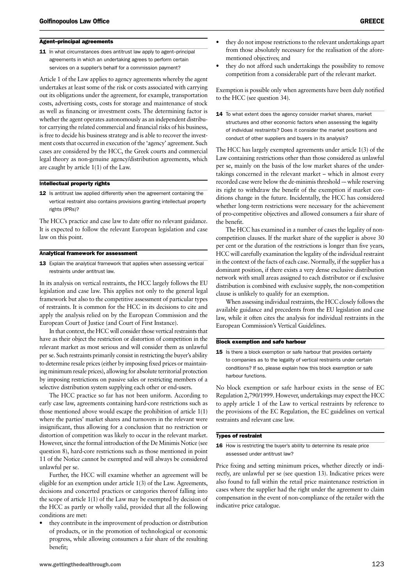#### Agent–principal agreements

11 In what circumstances does antitrust law apply to agent-principal agreements in which an undertaking agrees to perform certain services on a supplier's behalf for a commission payment?

Article 1 of the Law applies to agency agreements whereby the agent undertakes at least some of the risk or costs associated with carrying out its obligations under the agreement, for example, transportation costs, advertising costs, costs for storage and maintenance of stock as well as financing or investment costs. The determining factor is whether the agent operates autonomously as an independent distributor carrying the related commercial and financial risks of his business, is free to decide his business strategy and is able to recover the investment costs that occurred in execution of the 'agency' agreement. Such cases are considered by the HCC, the Greek courts and commercial legal theory as non-genuine agency/distribution agreements, which are caught by article 1(1) of the Law.

#### Intellectual property rights

12 Is antitrust law applied differently when the agreement containing the vertical restraint also contains provisions granting intellectual property rights (IPRs)?

The HCC's practice and case law to date offer no relevant guidance. It is expected to follow the relevant European legislation and case law on this point.

#### Analytical framework for assessment

13 Explain the analytical framework that applies when assessing vertical restraints under antitrust law.

In its analysis on vertical restraints, the HCC largely follows the EU legislation and case law. This applies not only to the general legal framework but also to the competitive assessment of particular types of restraints. It is common for the HCC in its decisions to cite and apply the analysis relied on by the European Commission and the European Court of Justice (and Court of First Instance).

In that context, the HCC will consider those vertical restraints that have as their object the restriction or distortion of competition in the relevant market as most serious and will consider them as unlawful per se. Such restraints primarily consist in restricting the buyer's ability to determine resale prices (either by imposing fixed prices or maintaining minimum resale prices), allowing for absolute territorial protection by imposing restrictions on passive sales or restricting members of a selective distribution system supplying each other or end-users.

The HCC practice so far has not been uniform. According to early case law, agreements containing hard-core restrictions such as those mentioned above would escape the prohibition of article 1(1) where the parties' market shares and turnovers in the relevant were insignificant, thus allowing for a conclusion that no restriction or distortion of competition was likely to occur in the relevant market. However, since the formal introduction of the De Minimis Notice (see question 8), hard-core restrictions such as those mentioned in point 11 of the Notice cannot be exempted and will always be considered unlawful per se.

Further, the HCC will examine whether an agreement will be eligible for an exemption under article 1(3) of the Law. Agreements, decisions and concerted practices or categories thereof falling into the scope of article 1(1) of the Law may be exempted by decision of the HCC as partly or wholly valid, provided that all the following conditions are met:

• they contribute in the improvement of production or distribution of products, or in the promotion of technological or economic progress, while allowing consumers a fair share of the resulting benefit;

- they do not impose restrictions to the relevant undertakings apart from those absolutely necessary for the realisation of the aforementioned objectives; and
- they do not afford such undertakings the possibility to remove competition from a considerable part of the relevant market.

Exemption is possible only when agreements have been duly notified to the HCC (see question 34).

14 To what extent does the agency consider market shares, market structures and other economic factors when assessing the legality of individual restraints? Does it consider the market positions and conduct of other suppliers and buyers in its analysis?

The HCC has largely exempted agreements under article 1(3) of the Law containing restrictions other than those considered as unlawful per se, mainly on the basis of the low market shares of the undertakings concerned in the relevant market – which in almost every recorded case were below the de-minimis threshold -- while reserving its right to withdraw the benefit of the exemption if market conditions change in the future. Incidentally, the HCC has considered whether long-term restrictions were necessary for the achievement of pro-competitive objectives and allowed consumers a fair share of the benefit.

The HCC has examined in a number of cases the legality of noncompetition clauses. If the market share of the supplier is above 30 per cent or the duration of the restrictions is longer than five years, HCC will carefully examination the legality of the individual restraint in the context of the facts of each case. Normally, if the supplier has a dominant position, if there exists a very dense exclusive distribution network with small areas assigned to each distributor or if exclusive distribution is combined with exclusive supply, the non-competition clause is unlikely to qualify for an exemption.

When assessing individual restraints, the HCC closely follows the available guidance and precedents from the EU legislation and case law, while it often cites the analysis for individual restraints in the European Commission's Vertical Guidelines.

#### Block exemption and safe harbour

15 Is there a block exemption or safe harbour that provides certainty to companies as to the legality of vertical restraints under certain conditions? If so, please explain how this block exemption or safe harbour functions.

No block exemption or safe harbour exists in the sense of EC Regulation 2,790/1999. However, undertakings may expect the HCC to apply article 1 of the Law to vertical restraints by reference to the provisions of the EC Regulation, the EC guidelines on vertical restraints and relevant case law.

#### Types of restraint

16 How is restricting the buver's ability to determine its resale price assessed under antitrust law?

Price fixing and setting minimum prices, whether directly or indirectly, are unlawful per se (see question 13). Indicative prices were also found to fall within the retail price maintenance restriction in cases where the supplier had the right under the agreement to claim compensation in the event of non-compliance of the retailer with the indicative price catalogue.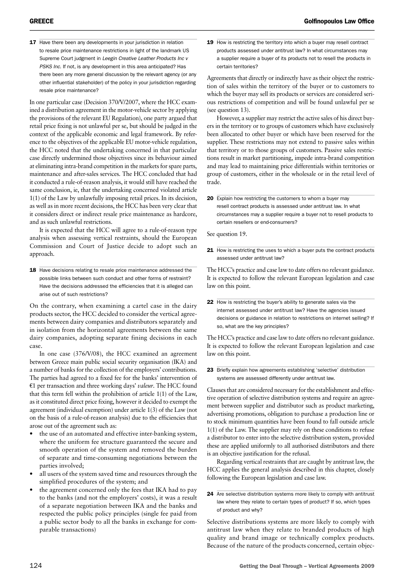17 Have there been any developments in your jurisdiction in relation to resale price maintenance restrictions in light of the landmark US Supreme Court judgment in *Leegin Creative Leather Products Inc v PSKS Inc*. If not, is any development in this area anticipated? Has there been any more general discussion by the relevant agency (or any other influential stakeholder) of the policy in your jurisdiction regarding resale price maintenance?

In one particular case (Decision 370/V/2007, where the HCC examined a distribution agreement in the motor-vehicle sector by applying the provisions of the relevant EU Regulation), one party argued that retail price fixing is not unlawful per se, but should be judged in the context of the applicable economic and legal framework. By reference to the objectives of the applicable EU motor-vehicle regulation, the HCC noted that the undertaking concerned in that particular case directly undermined those objectives since its behaviour aimed at eliminating intra-brand competition in the markets for spare parts, maintenance and after-sales services. The HCC concluded that had it conducted a rule-of-reason analysis, it would still have reached the same conclusion, ie, that the undertaking concerned violated article 1(1) of the Law by unlawfully imposing retail prices. In its decision, as well as in more recent decisions, the HCC has been very clear that it considers direct or indirect resale price maintenance as hardcore, and as such unlawful restrictions.

It is expected that the HCC will agree to a rule-of-reason type analysis when assessing vertical restraints, should the European Commission and Court of Justice decide to adopt such an approach.

18 Have decisions relating to resale price maintenance addressed the possible links between such conduct and other forms of restraint? Have the decisions addressed the efficiencies that it is alleged can arise out of such restrictions?

On the contrary, when examining a cartel case in the dairy products sector, the HCC decided to consider the vertical agreements between dairy companies and distributors separately and in isolation from the horizontal agreements between the same dairy companies, adopting separate fining decisions in each case.

In one case (376/V/08), the HCC examined an agreement between Greece main public social security organisation (IKA) and a number of banks for the collection of the employers' contributions. The parties had agreed to a fixed fee for the banks' intervention of  $E1$  per transaction and three working days' *valeur*. The HCC found that this term fell within the prohibition of article 1(1) of the Law, as it constituted direct price fixing, however it decided to exempt the agreement (individual exemption) under article 1(3) of the Law (not on the basis of a rule-of-reason analysis) due to the efficiencies that arose out of the agreement such as:

- the use of an automated and effective inter-banking system, where the uniform fee structure guaranteed the secure and smooth operation of the system and removed the burden of separate and time-consuming negotiations between the parties involved;
- all users of the system saved time and resources through the simplified procedures of the system; and
- the agreement concerned only the fees that IKA had to pay to the banks (and not the employers' costs), it was a result of a separate negotiation between IKA and the banks and respected the public policy principles (single fee paid from a public sector body to all the banks in exchange for comparable transactions)

19 How is restricting the territory into which a buyer may resell contract products assessed under antitrust law? In what circumstances may a supplier require a buyer of its products not to resell the products in certain territories?

Agreements that directly or indirectly have as their object the restriction of sales within the territory of the buyer or to customers to which the buyer may sell its products or services are considered serious restrictions of competition and will be found unlawful per se (see question 13).

However, a supplier may restrict the active sales of his direct buyers in the territory or to groups of customers which have exclusively been allocated to other buyer or which have been reserved for the supplier. These restrictions may not extend to passive sales within that territory or to those groups of customers. Passive sales restrictions result in market partitioning, impede intra-brand competition and may lead to maintaining price differentials within territories or group of customers, either in the wholesale or in the retail level of trade.

20 Explain how restricting the customers to whom a buyer may resell contract products is assessed under antitrust law. In what circumstances may a supplier require a buyer not to resell products to certain resellers or end-consumers?

See question 19.

21 How is restricting the uses to which a buyer puts the contract products assessed under antitrust law?

The HCC's practice and case law to date offers no relevant guidance. It is expected to follow the relevant European legislation and case law on this point.

22 How is restricting the buyer's ability to generate sales via the internet assessed under antitrust law? Have the agencies issued decisions or guidance in relation to restrictions on internet selling? If so, what are the key principles?

The HCC's practice and case law to date offers no relevant guidance. It is expected to follow the relevant European legislation and case law on this point.

23 Briefly explain how agreements establishing 'selective' distribution systems are assessed differently under antitrust law.

Clauses that are considered necessary for the establishment and effective operation of selective distribution systems and require an agreement between supplier and distributor such as product marketing, advertising promotions, obligation to purchase a production line or to stock minimum quantities have been found to fall outside article 1(1) of the Law. The supplier may rely on these conditions to refuse a distributor to enter into the selective distribution system, provided these are applied uniformly to all authorised distributors and there is an objective justification for the refusal.

Regarding vertical restraints that are caught by antitrust law, the HCC applies the general analysis described in this chapter, closely following the European legislation and case law.

Selective distributions systems are more likely to comply with antitrust law when they relate to branded products of high quality and brand image or technically complex products. Because of the nature of the products concerned, certain objec-

<sup>24</sup> Are selective distribution systems more likely to comply with antitrust law where they relate to certain types of product? If so, which types of product and why?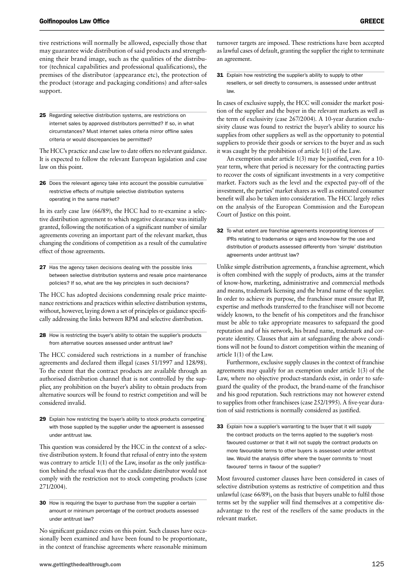an agreement.

tive restrictions will normally be allowed, especially those that may guarantee wide distribution of said products and strengthening their brand image, such as the qualities of the distributor (technical capabilities and professional qualifications), the premises of the distributor (appearance etc), the protection of the product (storage and packaging conditions) and after-sales support.

25 Regarding selective distribution systems, are restrictions on internet sales by approved distributors permitted? If so, in what circumstances? Must internet sales criteria mirror offline sales criteria or would discrepancies be permitted?

The HCC's practice and case law to date offers no relevant guidance. It is expected to follow the relevant European legislation and case law on this point.

26 Does the relevant agency take into account the possible cumulative restrictive effects of multiple selective distribution systems operating in the same market?

In its early case law (66/89), the HCC had to re-examine a selective distribution agreement to which negative clearance was initially granted, following the notification of a significant number of similar agreements covering an important part of the relevant market, thus changing the conditions of competition as a result of the cumulative effect of those agreements.

27 Has the agency taken decisions dealing with the possible links between selective distribution systems and resale price maintenance policies? If so, what are the key principles in such decisions?

The HCC has adopted decisions condemning resale price maintenance restrictions and practices within selective distribution systems, without, however, laying down a set of principles or guidance specifically addressing the links between RPM and selective distribution.

28 How is restricting the buyer's ability to obtain the supplier's products from alternative sources assessed under antitrust law?

The HCC considered such restrictions in a number of franchise agreements and declared them illegal (cases 51/1997 and 128/98). To the extent that the contract products are available through an authorised distribution channel that is not controlled by the supplier, any prohibition on the buyer's ability to obtain products from alternative sources will be found to restrict competition and will be considered invalid.

29 Explain how restricting the buyer's ability to stock products competing with those supplied by the supplier under the agreement is assessed under antitrust law.

This question was considered by the HCC in the context of a selective distribution system. It found that refusal of entry into the system was contrary to article 1(1) of the Law, insofar as the only justification behind the refusal was that the candidate distributor would not comply with the restriction not to stock competing products (case 271/2004).

30 How is requiring the buyer to purchase from the supplier a certain amount or minimum percentage of the contract products assessed under antitrust law?

No significant guidance exists on this point. Such clauses have occasionally been examined and have been found to be proportionate, in the context of franchise agreements where reasonable minimum 31 Explain how restricting the supplier's ability to supply to other resellers, or sell directly to consumers, is assessed under antitrust law.

as lawful cases of default, granting the supplier the right to terminate

In cases of exclusive supply, the HCC will consider the market position of the supplier and the buyer in the relevant markets as well as the term of exclusivity (case 267/2004). A 10-year duration exclusivity clause was found to restrict the buyer's ability to source his supplies from other suppliers as well as the opportunity to potential suppliers to provide their goods or services to the buyer and as such it was caught by the prohibition of article 1(1) of the Law.

An exemption under article 1(3) may be justified, even for a 10 year term, where that period is necessary for the contracting parties to recover the costs of significant investments in a very competitive market. Factors such as the level and the expected pay-off of the investment, the parties' market shares as well as estimated consumer benefit will also be taken into consideration. The HCC largely relies on the analysis of the European Commission and the European Court of Justice on this point.

32 To what extent are franchise agreements incorporating licences of IPRs relating to trademarks or signs and know-how for the use and distribution of products assessed differently from 'simple' distribution agreements under antitrust law?

Unlike simple distribution agreements, a franchise agreement, which is often combined with the supply of products, aims at the transfer of know-how, marketing, administrative and commercial methods and means, trademark licensing and the brand name of the supplier. In order to achieve its purpose, the franchisor must ensure that IP, expertise and methods transferred to the franchisee will not become widely known, to the benefit of his competitors and the franchisor must be able to take appropriate measures to safeguard the good reputation and of his network, his brand name, trademark and corporate identity. Clauses that aim at safeguarding the above conditions will not be found to distort competition within the meaning of article 1(1) of the Law.

Furthermore, exclusive supply clauses in the context of franchise agreements may qualify for an exemption under article 1(3) of the Law, where no objective product-standards exist, in order to safeguard the quality of the product, the brand-name of the franchisor and his good reputation. Such restrictions may not however extend to supplies from other franchisees (case 252/1995). A five-year duration of said restrictions is normally considered as justified.

33 Explain how a supplier's warranting to the buyer that it will supply the contract products on the terms applied to the supplier's mostfavoured customer or that it will not supply the contract products on more favourable terms to other buyers is assessed under antitrust law. Would the analysis differ where the buyer commits to 'most favoured' terms in favour of the supplier?

Most favoured customer clauses have been considered in cases of selective distribution systems as restrictive of competition and thus unlawful (case 66/89), on the basis that buyers unable to fulfil those terms set by the supplier will find themselves at a competitive disadvantage to the rest of the resellers of the same products in the relevant market.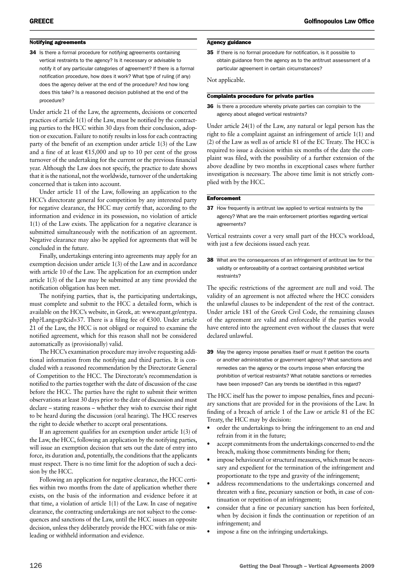#### Notifying agreements

34 Is there a formal procedure for notifying agreements containing vertical restraints to the agency? Is it necessary or advisable to notify it of any particular categories of agreement? If there is a formal notification procedure, how does it work? What type of ruling (if any) does the agency deliver at the end of the procedure? And how long does this take? Is a reasoned decision published at the end of the procedure?

Under article 21 of the Law, the agreements, decisions or concerted practices of article 1(1) of the Law, must be notified by the contracting parties to the HCC within 30 days from their conclusion, adoption or execution. Failure to notify results in loss for each contracting party of the benefit of an exemption under article 1(3) of the Law and a fine of at least  $\epsilon$ 15,000 and up to 10 per cent of the gross turnover of the undertaking for the current or the previous financial year. Although the Law does not specify, the practice to date shows that it is the national, not the worldwide, turnover of the undertaking concerned that is taken into account.

Under article 11 of the Law, following an application to the HCC's directorate general for competition by any interested party for negative clearance, the HCC may certify that, according to the information and evidence in its possession, no violation of article 1(1) of the Law exists. The application for a negative clearance is submitted simultaneously with the notification of an agreement. Negative clearance may also be applied for agreements that will be concluded in the future.

Finally, undertakings entering into agreements may apply for an exemption decision under article 1(3) of the Law and in accordance with article 10 of the Law. The application for an exemption under article 1(3) of the Law may be submitted at any time provided the notification obligation has been met.

The notifying parties, that is, the participating undertakings, must complete and submit to the HCC a detailed form, which is available on the HCC's website, in Greek, at: www.epant.gr/entypa. php?Lang=gr&id=37. There is a filing fee of  $€300$ . Under article 21 of the Law, the HCC is not obliged or required to examine the notified agreement, which for this reason shall not be considered automatically as (provisionally) valid.

The HCC's examination procedure may involve requesting additional information from the notifying and third parties. It is concluded with a reasoned recommendation by the Directorate General of Competition to the HCC. The Directorate's recommendation is notified to the parties together with the date of discussion of the case before the HCC. The parties have the right to submit their written observations at least 30 days prior to the date of discussion and must declare – stating reasons – whether they wish to exercise their right to be heard during the discussion (oral hearing). The HCC reserves the right to decide whether to accept oral presentations.

If an agreement qualifies for an exemption under article 1(3) of the Law, the HCC, following an application by the notifying parties, will issue an exemption decision that sets out the date of entry into force, its duration and, potentially, the conditions that the applicants must respect. There is no time limit for the adoption of such a decision by the HCC.

Following an application for negative clearance, the HCC certifies within two months from the date of application whether there exists, on the basis of the information and evidence before it at that time, a violation of article 1(1) of the Law. In case of negative clearance, the contracting undertakings are not subject to the consequences and sanctions of the Law, until the HCC issues an opposite decision, unless they deliberately provide the HCC with false or misleading or withheld information and evidence.

#### Agency guidance

35 If there is no formal procedure for notification, is it possible to obtain guidance from the agency as to the antitrust assessment of a particular agreement in certain circumstances?

Not applicable.

#### Complaints procedure for private parties

36 Is there a procedure whereby private parties can complain to the agency about alleged vertical restraints?

Under article 24(1) of the Law, any natural or legal person has the right to file a complaint against an infringement of article 1(1) and (2) of the Law as well as of article 81 of the EC Treaty. The HCC is required to issue a decision within six months of the date the complaint was filed, with the possibility of a further extension of the above deadline by two months in exceptional cases where further investigation is necessary. The above time limit is not strictly complied with by the HCC.

#### **Enforcement**

37 How frequently is antitrust law applied to vertical restraints by the agency? What are the main enforcement priorities regarding vertical agreements?

Vertical restraints cover a very small part of the HCC's workload, with just a few decisions issued each year.

38 What are the consequences of an infringement of antitrust law for the validity or enforceability of a contract containing prohibited vertical restraints?

The specific restrictions of the agreement are null and void. The validity of an agreement is not affected where the HCC considers the unlawful clauses to be independent of the rest of the contract. Under article 181 of the Greek Civil Code, the remaining clauses of the agreement are valid and enforceable if the parties would have entered into the agreement even without the clauses that were declared unlawful.

39 May the agency impose penalties itself or must it petition the courts or another administrative or government agency? What sanctions and remedies can the agency or the courts impose when enforcing the prohibition of vertical restraints? What notable sanctions or remedies have been imposed? Can any trends be identified in this regard?

The HCC itself has the power to impose penalties, fines and pecuniary sanctions that are provided for in the provisions of the Law. In finding of a breach of article 1 of the Law or article 81 of the EC Treaty, the HCC may by decision:

- order the undertakings to bring the infringement to an end and refrain from it in the future;
- accept commitments from the undertakings concerned to end the breach, making those commitments binding for them;
- impose behavioural or structural measures, which must be necessary and expedient for the termination of the infringement and proportionate to the type and gravity of the infringement;
- address recommendations to the undertakings concerned and threaten with a fine, pecuniary sanction or both, in case of continuation or repetition of an infringement;
- consider that a fine or pecuniary sanction has been forfeited, when by decision it finds the continuation or repetition of an infringement; and
- impose a fine on the infringing undertakings.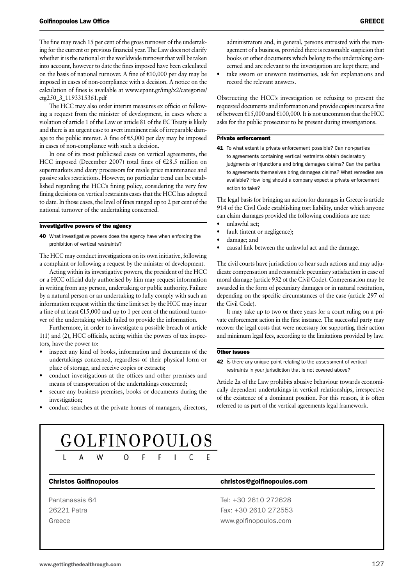The fine may reach 15 per cent of the gross turnover of the undertaking for the current or previous financial year. The Law does not clarify whether it is the national or the worldwide turnover that will be taken into account, however to date the fines imposed have been calculated on the basis of national turnover. A fine of  $E10,000$  per day may be imposed in cases of non-compliance with a decision. A notice on the calculation of fines is available at www.epant.gr/img/x2/categories/ ctg250\_3\_1193315361.pdf

The HCC may also order interim measures ex officio or following a request from the minister of development, in cases where a violation of article 1 of the Law or article 81 of the EC Treaty is likely and there is an urgent case to avert imminent risk of irreparable damage to the public interest. A fine of  $\epsilon$ 5,000 per day may be imposed in cases of non-compliance with such a decision.

In one of its most publicised cases on vertical agreements, the HCC imposed (December 2007) total fines of  $\epsilon$ 28.5 million on supermarkets and dairy processors for resale price maintenance and passive sales restrictions. However, no particular trend can be established regarding the HCC's fining policy, considering the very few fining decisions on vertical restraints cases that the HCC has adopted to date. In those cases, the level of fines ranged up to 2 per cent of the national turnover of the undertaking concerned.

#### Investigative powers of the agency

40 What investigative powers does the agency have when enforcing the prohibition of vertical restraints?

The HCC may conduct investigations on its own initiative, following a complaint or following a request by the minister of development.

Acting within its investigative powers, the president of the HCC or a HCC official duly authorised by him may request information in writing from any person, undertaking or public authority. Failure by a natural person or an undertaking to fully comply with such an information request within the time limit set by the HCC may incur a fine of at least  $\text{\textsterling}15,000$  and up to 1 per cent of the national turnover of the undertaking which failed to provide the information.

Furthermore, in order to investigate a possible breach of article 1(1) and (2), HCC officials, acting within the powers of tax inspectors, have the power to:

- inspect any kind of books, information and documents of the undertakings concerned, regardless of their physical form or place of storage, and receive copies or extracts;
- conduct investigations at the offices and other premises and means of transportation of the undertakings concerned;
- secure any business premises, books or documents during the investigation;
- conduct searches at the private homes of managers, directors,

administrators and, in general, persons entrusted with the management of a business, provided there is reasonable suspicion that books or other documents which belong to the undertaking concerned and are relevant to the investigation are kept there; and

take sworn or unsworn testimonies, ask for explanations and record the relevant answers.

Obstructing the HCC's investigation or refusing to present the requested documents and information and provide copies incurs a fine of between  $\text{£}15,000$  and  $\text{£}100,000$ . It is not uncommon that the HCC asks for the public prosecutor to be present during investigations.

#### Private enforcement

41 To what extent is private enforcement possible? Can non-parties to agreements containing vertical restraints obtain declaratory judgments or injunctions and bring damages claims? Can the parties to agreements themselves bring damages claims? What remedies are available? How long should a company expect a private enforcement action to take?

The legal basis for bringing an action for damages in Greece is article 914 of the Civil Code establishing tort liability, under which anyone can claim damages provided the following conditions are met:

- unlawful act;
- fault (intent or negligence);
- damage; and
- causal link between the unlawful act and the damage.

The civil courts have jurisdiction to hear such actions and may adjudicate compensation and reasonable pecuniary satisfaction in case of moral damage (article 932 of the Civil Code). Compensation may be awarded in the form of pecuniary damages or in natural restitution, depending on the specific circumstances of the case (article 297 of the Civil Code).

It may take up to two or three years for a court ruling on a private enforcement action in the first instance. The successful party may recover the legal costs that were necessary for supporting their action and minimum legal fees, according to the limitations provided by law.

#### Other issues

42 Is there any unique point relating to the assessment of vertical restraints in your jurisdiction that is not covered above?

Article 2a of the Law prohibits abusive behaviour towards economically dependent undertakings in vertical relationships, irrespective of the existence of a dominant position. For this reason, it is often referred to as part of the vertical agreements legal framework.

#### GOLFINOPOULOS  $\Omega$ F

#### Christos Golfinopoulos christos@golfinopoulos.com

Pantanassis 64 Tel: +30 2610 272628 26221 Patra Fax: +30 2610 272553 Greece www.golfinopoulos.com